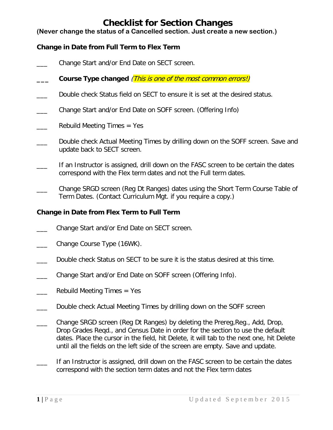# **Checklist for Section Changes**

**(Never change the status of a Cancelled section. Just create a new section.)**

## **Change in Date from Full Term to Flex Term**

- Change Start and/or End Date on SECT screen.
- **\_\_\_ Course Type changed** (This is one of the most common errors!)
- Double check Status field on SECT to ensure it is set at the desired status.
- \_\_\_ Change Start and/or End Date on SOFF screen. (Offering Info)
- Rebuild Meeting Times  $=$  Yes
- Double check Actual Meeting Times by drilling down on the SOFF screen. Save and update back to SECT screen.
- If an Instructor is assigned, drill down on the FASC screen to be certain the dates correspond with the Flex term dates and not the Full term dates.
- \_\_\_ Change SRGD screen (Reg Dt Ranges) dates using the Short Term Course Table of Term Dates. (Contact Curriculum Mgt. if you require a copy.)

## **Change in Date from Flex Term to Full Term**

- Change Start and/or End Date on SECT screen.
- Change Course Type (16WK).
- \_\_\_ Double check Status on SECT to be sure it is the status desired at this time.
- Change Start and/or End Date on SOFF screen (Offering Info).
- Rebuild Meeting Times  $=$  Yes
- \_\_\_ Double check Actual Meeting Times by drilling down on the SOFF screen
- Change SRGD screen (Reg Dt Ranges) by deleting the Prereg, Reg., Add, Drop, Drop Grades Reqd., and Census Date in order for the section to use the default dates. Place the cursor in the field, hit Delete, it will tab to the next one, hit Delete until all the fields on the left side of the screen are empty. Save and update.
- If an Instructor is assigned, drill down on the FASC screen to be certain the dates correspond with the section term dates and not the Flex term dates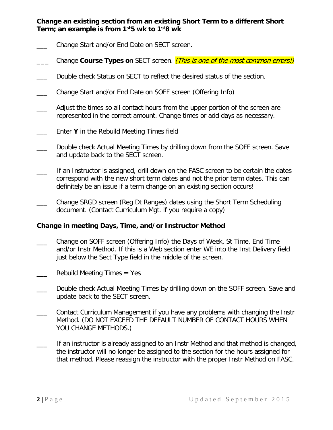**Change an existing section from an existing Short Term to a different Short Term; an example is from 1st5 wk to 1st8 wk**

- Change Start and/or End Date on SECT screen.
- **\_\_\_** Change **Course Types o**n SECT screen. (This is one of the most common errors!)
- \_\_\_ Double check Status on SECT to reflect the desired status of the section.
- \_\_\_ Change Start and/or End Date on SOFF screen (Offering Info)
- Adjust the times so all contact hours from the upper portion of the screen are represented in the correct amount. Change times or add days as necessary.
- Enter Y in the Rebuild Meeting Times field
- Double check Actual Meeting Times by drilling down from the SOFF screen. Save and update back to the SECT screen.
- If an Instructor is assigned, drill down on the FASC screen to be certain the dates correspond with the new short term dates and not the prior term dates. This can definitely be an issue if a term change on an existing section occurs!
- \_\_\_ Change SRGD screen (Reg Dt Ranges) dates using the Short Term Scheduling document. (Contact Curriculum Mgt. if you require a copy)

#### **Change in meeting Days, Time, and/or Instructor Method**

- \_\_\_ Change on SOFF screen (Offering Info) the Days of Week, St Time, End Time and/or Instr Method. If this is a Web section enter WE into the Inst Delivery field just below the Sect Type field in the middle of the screen.
- Rebuild Meeting Times  $=$  Yes
- Double check Actual Meeting Times by drilling down on the SOFF screen. Save and update back to the SECT screen.
- \_\_\_ Contact Curriculum Management if you have any problems with changing the Instr Method. (DO NOT EXCEED THE DEFAULT NUMBER OF CONTACT HOURS WHEN YOU CHANGE METHODS.)
- If an instructor is already assigned to an Instr Method and that method is changed, the instructor will no longer be assigned to the section for the hours assigned for that method. Please reassign the instructor with the proper Instr Method on FASC.